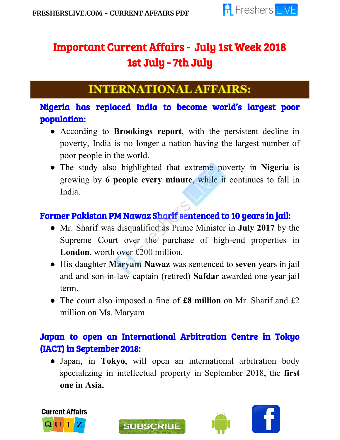l



# Important Current Affairs - July 1st Week 2018 1st July - 7th July

## **INTERNATIONAL AFFAIRS:**

## Nigeria has replaced India to become world's largest poor population:

- According to **Brookings report**, with the persistent decline in poverty, India is no longer a nation having the largest number of poor people in the world.
- The study also highlighted that extreme poverty in **Nigeria** is growing by **6 people every minute**, while it continues to fall in India.

## Former Pakistan PM Nawaz Sharif sentenced to 10 years in jail:

- Mr. Sharif was disqualified as Prime Minister in **July 2017** by the Supreme Court over the purchase of high-end properties in **London**, worth over £200 million.
- His daughter **Maryam Nawaz** was sentenced to **seven** years in jail and and son-in-law captain (retired) **Safdar** awarded one-year jail term.
- The court also imposed a fine of **£8 million** on Mr. Sharif and £2 million on Ms. Maryam.

#### Japan to open an International Arbitration Centre in Tokyo (IACT) in September 2018:

● Japan, in **Tokyo**, will open an international arbitration body specializing in intellectual property in September 2018, the **first one in Asia.**



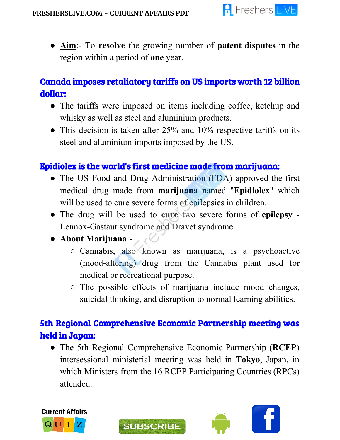

● **Aim**:- To **resolve** the growing number of **patent disputes** in the region within a period of **one** year.

### Canada imposes retaliatory tariffs on US imports worth 12 billion dollar:

- The tariffs were imposed on items including coffee, ketchup and whisky as well as steel and aluminium products.
- This decision is taken after 25% and 10% respective tariffs on its steel and aluminium imports imposed by the US.

#### Epidiolex is the world's first medicine made from marijuana:

- The US Food and Drug Administration (FDA) approved the first medical drug made from **marijuana** named "**Epidiolex**" which will be used to cure severe forms of epilepsies in children.
- The drug will be used to **cure** two severe forms of **epilepsy** Lennox-Gastaut syndrome and Dravet syndrome.

#### ● **About Marijuana**:-

- Cannabis, also known as marijuana, is a psychoactive (mood-altering) drug from the Cannabis plant used for medical or recreational purpose.
- The possible effects of marijuana include mood changes, suicidal thinking, and disruption to normal learning abilities.

## 5th Regional Comprehensive Economic Partnership meeting was held in Japan:

● The 5th Regional Comprehensive Economic Partnership (**RCEP**) intersessional ministerial meeting was held in **Tokyo**, Japan, in which Ministers from the 16 RCEP Participating Countries (RPCs) attended.



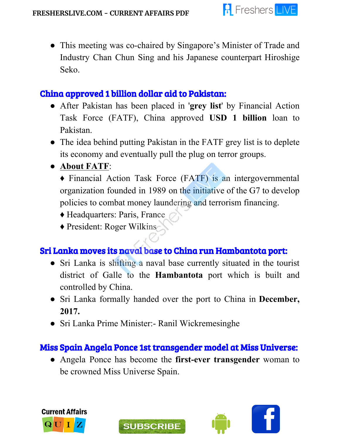

● This meeting was co-chaired by Singapore's Minister of Trade and Industry Chan Chun Sing and his Japanese counterpart Hiroshige Seko.

#### China approved 1 billion dollar aid to Pakistan:

- After Pakistan has been placed in '**grey list**' by Financial Action Task Force (FATF), China approved **USD 1 billion** loan to Pakistan.
- The idea behind putting Pakistan in the FATF grey list is to deplete its economy and eventually pull the plug on terror groups.
- **About FATF**:

♦ Financial Action Task Force (FATF) is an intergovernmental organization founded in 1989 on the initiative of the G7 to develop policies to combat money laundering and terrorism financing.

- ♦ Headquarters: Paris, France
- ♦ President: Roger Wilkins

#### Sri Lanka moves its naval base to China run Hambantota port:

- Sri Lanka is shifting a naval base currently situated in the tourist district of Galle to the **Hambantota** port which is built and controlled by China.
- Sri Lanka formally handed over the port to China in **December, 2017.**
- Sri Lanka Prime Minister:- Ranil Wickremesinghe

**SUBSCRIBE** 

### Miss Spain Angela Ponce 1st transgender model at Miss Universe:

● Angela Ponce has become the **first-ever transgender** woman to be crowned Miss Universe Spain.



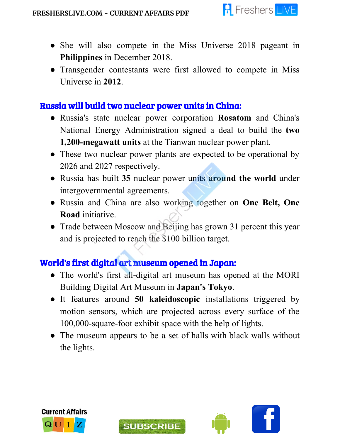

- She will also compete in the Miss Universe 2018 pageant in **Philippines** in December 2018.
- Transgender contestants were first allowed to compete in Miss Universe in **2012**.

#### Russia will build two nuclear power units in China:

- Russia's state nuclear power corporation **Rosatom** and China's National Energy Administration signed a deal to build the **two 1,200-megawatt units** at the Tianwan nuclear power plant.
- These two nuclear power plants are expected to be operational by 2026 and 2027 respectively.
- Russia has built **35** nuclear power units **around the world** under intergovernmental agreements.
- Russia and China are also working together on **One Belt, One Road** initiative.
- Trade between Moscow and Beijing has grown 31 percent this year and is projected to reach the \$100 billion target.

### World's first digital art museum opened in Japan:

- The world's first all-digital art museum has opened at the MORI Building Digital Art Museum in **Japan's Tokyo**.
- It features around **50 kaleidoscopic** installations triggered by motion sensors, which are projected across every surface of the 100,000-square-foot exhibit space with the help of lights.
- The museum appears to be a set of halls with black walls without the lights.





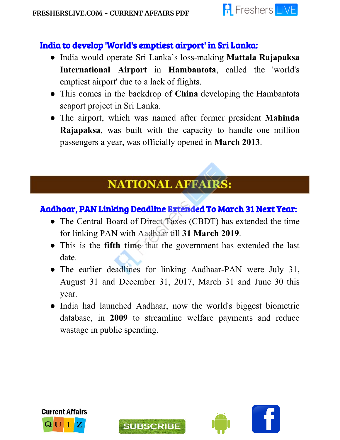

#### India to develop 'World's emptiest airport' in Sri Lanka:

- India would operate Sri Lanka's loss-making **Mattala Rajapaksa International Airport** in **Hambantota**, called the 'world's emptiest airport' due to a lack of flights.
- This comes in the backdrop of **China** developing the Hambantota seaport project in Sri Lanka.
- The airport, which was named after former president **Mahinda Rajapaksa**, was built with the capacity to handle one million passengers a year, was officially opened in **March 2013**.

## **NATIONAL AFFAIRS:**

#### Aadhaar, PAN Linking Deadline Extended To March 31 Next Year:

- The Central Board of Direct Taxes (CBDT) has extended the time for linking PAN with Aadhaar till **31 March 2019**.
- This is the **fifth time** that the government has extended the last date.
- The earlier deadlines for linking Aadhaar-PAN were July 31, August 31 and December 31, 2017, March 31 and June 30 this year.
- India had launched Aadhaar, now the world's biggest biometric database, in **2009** to streamline welfare payments and reduce wastage in public spending.



Ī



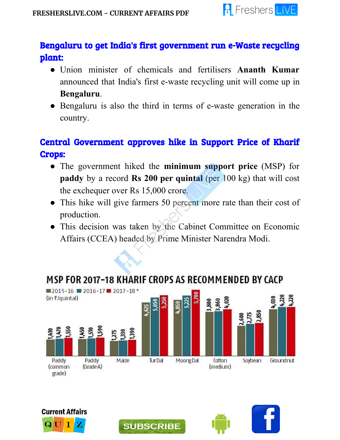

### Bengaluru to get India's first government run e-Waste recycling plant:

- Union minister of chemicals and fertilisers **Ananth Kumar** announced that India's first e-waste recycling unit will come up in **Bengaluru**.
- Bengaluru is also the third in terms of e-waste generation in the country.

## Central Government approves hike in Support Price of Kharif Crops:

- The government hiked the **minimum support price** (MSP) for **paddy** by a record **Rs 200 per quintal** (per 100 kg) that will cost the exchequer over Rs 15,000 crore.
- This hike will give farmers 50 percent more rate than their cost of production.
- This decision was taken by the Cabinet Committee on Economic Affairs (CCEA) headed by Prime Minister Narendra Modi.



## MSP FOR 2017-18 KHARIF CROPS AS RECOMMENDED BY CACP



grade)





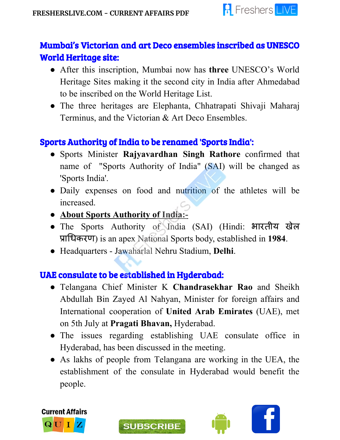

## Mumbai's Victorian and art Deco ensembles inscribed as UNESCO World Heritage site:

- After this inscription, Mumbai now has **three** UNESCO's World Heritage Sites making it the second city in India after Ahmedabad to be inscribed on the World Heritage List.
- The three heritages are Elephanta, Chhatrapati Shivaji Maharaj Terminus, and the Victorian & Art Deco Ensembles.

### Sports Authority of India to be renamed 'Sports India':

- Sports Minister **Rajyavardhan Singh Rathore** confirmed that name of "Sports Authority of India" (SAI) will be changed as 'Sports India'.
- Daily expenses on food and nutrition of the athletes will be increased.
- **● About Sports Authority of India:-**
- The Sports Authority of India (SAI) (Hindi: भारतीय खेल ाधकरण) is an apex National Sports body, established in **1984**.
- Headquarters Jawaharlal Nehru Stadium, **Delhi**.

## UAE consulate to be established in Hyderabad:

- Telangana Chief Minister K **Chandrasekhar Rao** and Sheikh Abdullah Bin Zayed Al Nahyan, Minister for foreign affairs and International cooperation of **United Arab Emirates** (UAE), met on 5th July at **Pragati Bhavan,** Hyderabad.
- The issues regarding establishing UAE consulate office in Hyderabad, has been discussed in the meeting.
- As lakhs of people from Telangana are working in the UEA, the establishment of the consulate in Hyderabad would benefit the people.





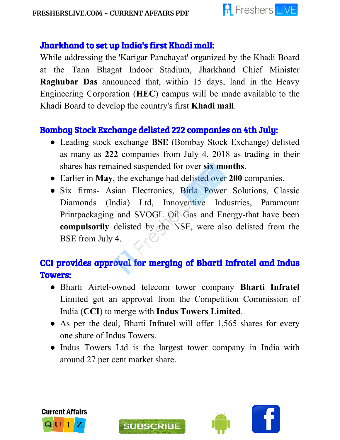

#### Jharkhand to set up India's first Khadi mall:

While addressing the 'Karigar Panchayat' organized by the Khadi Board at the Tana Bhagat Indoor Stadium, Jharkhand Chief Minister **Raghubar Das** announced that, within 15 days, land in the Heavy Engineering Corporation (**HEC**) campus will be made available to the Khadi Board to develop the country's first **Khadi mall**.

#### Bombay Stock Exchange delisted 222 companies on 4th July:

- Leading stock exchange **BSE** (Bombay Stock Exchange) delisted as many as **222** companies from July 4, 2018 as trading in their shares has remained suspended for over **six months**.
- Earlier in **May**, the exchange had delisted over **200** companies.
- Six firms- Asian Electronics, Birla Power Solutions, Classic Diamonds (India) Ltd, Innoventive Industries, Paramount Printpackaging and SVOGL Oil Gas and Energy-that have been **compulsorily** delisted by the NSE, were also delisted from the BSE from July 4.

## CCI provides approval for merging of Bharti Infratel and Indus Towers:

- Bharti Airtel-owned telecom tower company **Bharti Infratel** Limited got an approval from the Competition Commission of India (**CCI**) to merge with **Indus Towers Limited**.
- As per the deal, Bharti Infratel will offer 1,565 shares for every one share of Indus Towers.
- Indus Towers Ltd is the largest tower company in India with around 27 per cent market share.





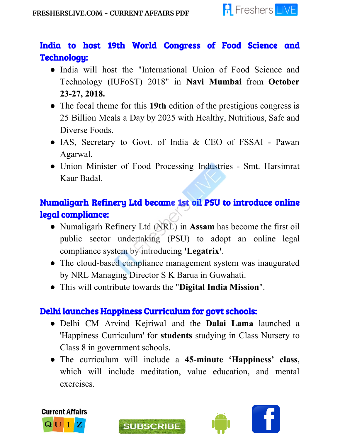

## India to host 19th World Congress of Food Science and Technology:

- India will host the "International Union of Food Science and Technology (IUFoST) 2018" in **Navi Mumbai** from **October 23-27, 2018.**
- The focal theme for this **19th** edition of the prestigious congress is 25 Billion Meals a Day by 2025 with Healthy, Nutritious, Safe and Diverse Foods.
- IAS, Secretary to Govt. of India & CEO of FSSAI Pawan Agarwal.
- Union Minister of Food Processing Industries Smt. Harsimrat Kaur Badal.

## Numaligarh Refinery Ltd became 1st oil PSU to introduce online legal compliance:

- Numaligarh Refinery Ltd (NRL) in **Assam** has become the first oil public sector undertaking (PSU) to adopt an online legal compliance system by introducing **'Legatrix'**.
- The cloud-based compliance management system was inaugurated by NRL Managing Director S K Barua in Guwahati.
- This will contribute towards the "**Digital India Mission**".

### Delhi launches Happiness Curriculum for govt schools:

- Delhi CM Arvind Kejriwal and the **Dalai Lama** launched a 'Happiness Curriculum' for **students** studying in Class Nursery to Class 8 in government schools.
- The curriculum will include a **45-minute 'Happiness' class**, which will include meditation, value education, and mental exercises.



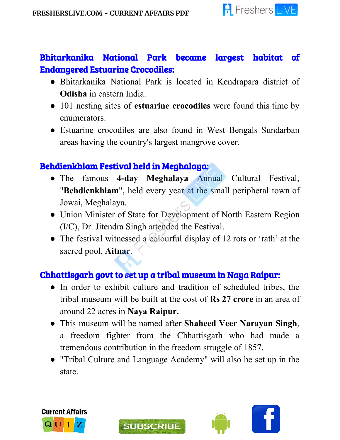

#### Bhitarkanika National Park became largest habitat of Endangered Estuarine Crocodiles:

- Bhitarkanika National Park is located in Kendrapara district of **Odisha** in eastern India.
- 101 nesting sites of **estuarine crocodiles** were found this time by enumerators.
- Estuarine crocodiles are also found in West Bengals Sundarban areas having the country's largest mangrove cover.

#### Behdienkhlam Festival held in Meghalaya:

- The famous **4-day Meghalaya** Annual Cultural Festival, "**Behdienkhlam**", held every year at the small peripheral town of Jowai, Meghalaya.
- Union Minister of State for Development of North Eastern Region (I/C), Dr. Jitendra Singh attended the Festival.
- The festival witnessed a colourful display of 12 rots or 'rath' at the sacred pool, **Aitnar**.

### Chhattisgarh govt to set up a tribal museum in Naya Raipur:

- In order to exhibit culture and tradition of scheduled tribes, the tribal museum will be built at the cost of **Rs 27 crore** in an area of around 22 acres in **Naya Raipur.**
- This museum will be named after **Shaheed Veer Narayan Singh**, a freedom fighter from the Chhattisgarh who had made a tremendous contribution in the freedom struggle of 1857.
- "Tribal Culture and Language Academy" will also be set up in the state.





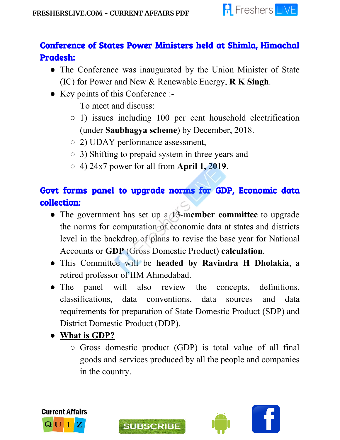

## Conference of States Power Ministers held at Shimla, Himachal Pradesh:

- The Conference was inaugurated by the Union Minister of State (IC) for Power and New & Renewable Energy, **R K Singh**.
- Key points of this Conference :-
	- To meet and discuss:
	- 1) issues including 100 per cent household electrification (under **Saubhagya scheme**) by December, 2018.
	- 2) UDAY performance assessment,
	- 3) Shifting to prepaid system in three years and
	- 4) 24x7 power for all from **April 1, 2019**.

## Govt forms panel to upgrade norms for GDP, Economic data collection:

- The government has set up a **13-member committee** to upgrade the norms for computation of economic data at states and districts level in the backdrop of plans to revise the base year for National Accounts or **GDP** (Gross Domestic Product) **calculation**.
- This Committee will be **headed by Ravindra H Dholakia**, a retired professor of IIM Ahmedabad.
- The panel will also review the concepts, definitions, classifications, data conventions, data sources and data requirements for preparation of State Domestic Product (SDP) and District Domestic Product (DDP).
- **● What is GDP?**
	- Gross domestic product (GDP) is total value of all final goods and services produced by all the people and companies in the country.



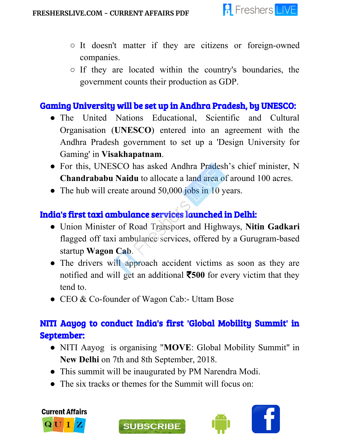

- It doesn't matter if they are citizens or foreign-owned companies.
- If they are located within the country's boundaries, the government counts their production as GDP.

#### Gaming University will be set up in Andhra Pradesh, by UNESCO:

- The United Nations Educational, Scientific and Cultural Organisation (**UNESCO**) entered into an agreement with the Andhra Pradesh government to set up a 'Design University for Gaming' in **Visakhapatnam**.
- For this, UNESCO has asked Andhra Pradesh's chief minister, N **Chandrababu Naidu** to allocate a land area of around 100 acres.
- The hub will create around 50,000 jobs in 10 years.

#### India's first taxi ambulance services launched in Delhi:

- Union Minister of Road Transport and Highways, **Nitin Gadkari** flagged off taxi ambulance services, offered by a Gurugram-based startup **Wagon Cab**.
- The drivers will approach accident victims as soon as they are notified and will get an additional ₹**500** for every victim that they tend to.
- CEO & Co-founder of Wagon Cab:- Uttam Bose

### NITI Aayog to conduct India's first 'Global Mobility Summit' in September:

- NITI Aayog is organising "**MOVE**: Global Mobility Summit" in **New Delhi** on 7th and 8th September, 2018.
- This summit will be inaugurated by PM Narendra Modi.
- The six tracks or themes for the Summit will focus on:





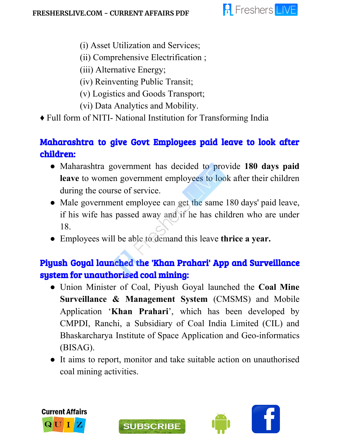

- (i) Asset Utilization and Services;
- (ii) Comprehensive Electrification ;

(iii) Alternative Energy;

- (iv) Reinventing Public Transit;
- (v) Logistics and Goods Transport;
- (vi) Data Analytics and Mobility.
- ♦ Full form of NITI- National Institution for Transforming India

## Maharashtra to give Govt Employees paid leave to look after children:

- Maharashtra government has decided to provide **180 days paid leave** to women government employees to look after their children during the course of service.
- Male government employee can get the same 180 days' paid leave, if his wife has passed away and if he has children who are under 18.
- Employees will be able to demand this leave **thrice a year.**

## Piyush Goyal launched the 'Khan Prahari' App and Surveillance system for unauthorised coal mining:

- Union Minister of Coal, Piyush Goyal launched the **Coal Mine Surveillance & Management System** (CMSMS) and Mobile Application '**Khan Prahari**', which has been developed by CMPDI, Ranchi, a Subsidiary of Coal India Limited (CIL) and Bhaskarcharya Institute of Space Application and Geo-informatics (BISAG).
- It aims to report, monitor and take suitable action on unauthorised coal mining activities.



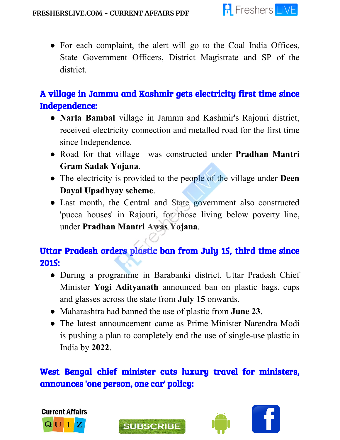

• For each complaint, the alert will go to the Coal India Offices, State Government Officers, District Magistrate and SP of the district.

## A village in Jammu and Kashmir gets electricity first time since Independence:

- **Narla Bambal** village in Jammu and Kashmir's Rajouri district, received electricity connection and metalled road for the first time since Independence.
- Road for that village was constructed under **Pradhan Mantri Gram Sadak Yojana**.
- The electricity is provided to the people of the village under **Deen Dayal Upadhyay scheme**.
- Last month, the Central and State government also constructed 'pucca houses' in Rajouri, for those living below poverty line, under **Pradhan Mantri Awas Yojana**.

## Uttar Pradesh orders plastic ban from July 15, third time since 2015:

- During a programme in Barabanki district, Uttar Pradesh Chief Minister **Yogi Adityanath** announced ban on plastic bags, cups and glasses across the state from **July 15** onwards.
- Maharashtra had banned the use of plastic from **June 23**.

**SUBSCRIBE** 

• The latest announcement came as Prime Minister Narendra Modi is pushing a plan to completely end the use of single-use plastic in India by **2022**.

## West Bengal chief minister cuts luxury travel for ministers, announces 'one person, one car' policy:



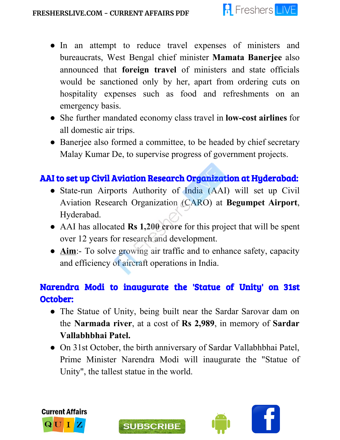

- In an attempt to reduce travel expenses of ministers and bureaucrats, West Bengal chief minister **Mamata Banerjee** also announced that **foreign travel** of ministers and state officials would be sanctioned only by her, apart from ordering cuts on hospitality expenses such as food and refreshments on an emergency basis.
- She further mandated economy class travel in **low-cost airlines** for all domestic air trips.
- Banerjee also formed a committee, to be headed by chief secretary Malay Kumar De, to supervise progress of government projects.

## AAI to set up Civil Aviation Research Organization at Hyderabad:

- State-run Airports Authority of India (AAI) will set up Civil Aviation Research Organization (CARO) at **Begumpet Airport**, Hyderabad.
- AAI has allocated **Rs 1,200 crore** for this project that will be spent over 12 years for research and development.
- **Aim**:- To solve growing air traffic and to enhance safety, capacity and efficiency of aircraft operations in India.

## Narendra Modi to inaugurate the 'Statue of Unity' on 31st October:

- The Statue of Unity, being built near the Sardar Sarovar dam on the **Narmada river**, at a cost of **Rs 2,989**, in memory of **Sardar Vallabhbhai Patel.**
- On 31st October, the birth anniversary of Sardar Vallabhbhai Patel, Prime Minister Narendra Modi will inaugurate the "Statue of Unity", the tallest statue in the world.





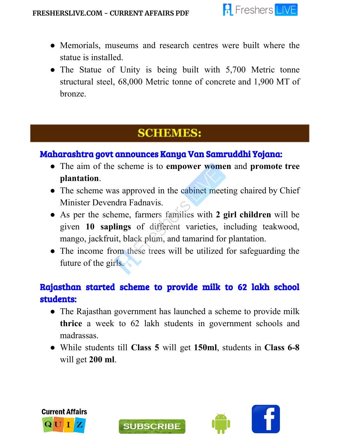

- Memorials, museums and research centres were built where the statue is installed.
- The Statue of Unity is being built with 5,700 Metric tonne structural steel, 68,000 Metric tonne of concrete and 1,900 MT of bronze.

## **SCHEMES:**

#### Maharashtra govt announces Kanya Van Samruddhi Yojana:

- The aim of the scheme is to **empower women** and **promote tree plantation**.
- The scheme was approved in the cabinet meeting chaired by Chief Minister Devendra Fadnavis.
- As per the scheme, farmers families with **2 girl children** will be given **10 saplings** of different varieties, including teakwood, mango, jackfruit, black plum, and tamarind for plantation.
- The income from these trees will be utilized for safeguarding the future of the girls.

## Rajasthan started scheme to provide milk to 62 lakh school students:

- The Rajasthan government has launched a scheme to provide milk **thrice** a week to 62 lakh students in government schools and madrassas.
- While students till **Class 5** will get **150ml**, students in **Class 6-8** will get **200 ml**.



ł



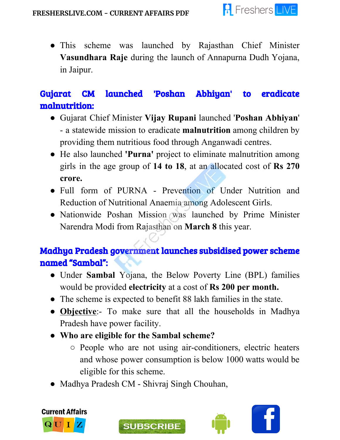

● This scheme was launched by Rajasthan Chief Minister **Vasundhara Raje** during the launch of Annapurna Dudh Yojana, in Jaipur.

## Gujarat CM launched 'Poshan Abhiyan' to eradicate malnutrition:

- Gujarat Chief Minister **Vijay Rupani** launched '**Poshan Abhiyan**' - a statewide mission to eradicate **malnutrition** among children by providing them nutritious food through Anganwadi centres.
- He also launched **'Purna'** project to eliminate malnutrition among girls in the age group of **14 to 18**, at an allocated cost of **Rs 270 crore.**
- Full form of PURNA Prevention of Under Nutrition and Reduction of Nutritional Anaemia among Adolescent Girls.
- Nationwide Poshan Mission was launched by Prime Minister Narendra Modi from Rajasthan on **March 8** this year.

## Madhya Pradesh government launches subsidised power scheme named "Sambal":

- Under **Sambal** Yojana, the Below Poverty Line (BPL) families would be provided **electricity** at a cost of **Rs 200 per month.**
- The scheme is expected to benefit 88 lakh families in the state.
- **Objective**:- To make sure that all the households in Madhya Pradesh have power facility.
- **● Who are eligible for the Sambal scheme?**
	- People who are not using air-conditioners, electric heaters and whose power consumption is below 1000 watts would be eligible for this scheme.
- Madhya Pradesh CM Shivraj Singh Chouhan,





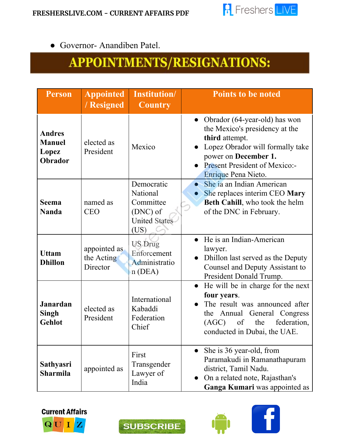

● Governor- Anandiben Patel.

# APPOINTMENTS/RESIGNATIONS:

| <b>Person</b>                                      | <b>Appointed</b><br>/ Resigned         | <b>Institution</b> /<br><b>Country</b>                                          | <b>Points to be noted</b>                                                                                                                                                                                                 |
|----------------------------------------------------|----------------------------------------|---------------------------------------------------------------------------------|---------------------------------------------------------------------------------------------------------------------------------------------------------------------------------------------------------------------------|
| <b>Andres</b><br><b>Manuel</b><br>Lopez<br>Obrador | elected as<br>President                | Mexico                                                                          | Obrador (64-year-old) has won<br>$\bullet$<br>the Mexico's presidency at the<br>third attempt.<br>Lopez Obrador will formally take<br>power on December 1.<br><b>Present President of Mexico:-</b><br>Enrique Pena Nieto. |
| <b>Seema</b><br><b>Nanda</b>                       | named as<br><b>CEO</b>                 | Democratic<br>National<br>Committee<br>(DNC) of<br><b>United States</b><br>(US) | She ia an Indian American<br>$\bullet$<br>She replaces interim CEO Mary<br>Beth Cahill, who took the helm<br>of the DNC in February.                                                                                      |
| <b>Uttam</b><br><b>Dhillon</b>                     | appointed as<br>the Acting<br>Director | <b>US Drug</b><br>Enforcement<br>Administratio<br>n(DEA)                        | He is an Indian-American<br>lawyer.<br>Dhillon last served as the Deputy<br>Counsel and Deputy Assistant to<br>President Donald Trump.                                                                                    |
| <b>Janardan</b><br><b>Singh</b><br>Gehlot          | elected as<br>President                | International<br>Kabaddi<br>Federation<br>Chief                                 | He will be in charge for the next<br>four years.<br>The result was announced after<br>Annual General<br>Congress<br>the<br>federation,<br>the<br>(AGC)<br>of<br>conducted in Dubai, the UAE.                              |
| <b>Sathyasri</b><br><b>Sharmila</b>                | appointed as                           | First<br>Transgender<br>Lawyer of<br>India                                      | She is 36 year-old, from<br>Paramakudi in Ramanathapuram<br>district, Tamil Nadu.<br>On a related note, Rajasthan's<br>Ganga Kumari was appointed as                                                                      |







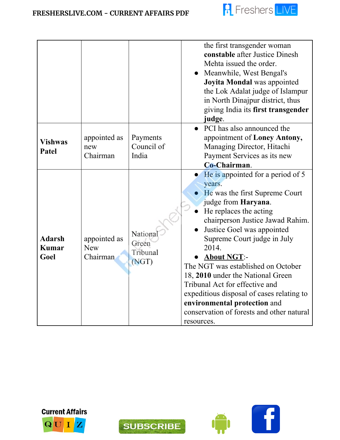

|                                       |                                        |                                        | the first transgender woman<br>constable after Justice Dinesh<br>Mehta issued the order.<br>• Meanwhile, West Bengal's<br>Joyita Mondal was appointed<br>the Lok Adalat judge of Islampur<br>in North Dinajpur district, thus                                                                                                                                                                                                                                                                                       |
|---------------------------------------|----------------------------------------|----------------------------------------|---------------------------------------------------------------------------------------------------------------------------------------------------------------------------------------------------------------------------------------------------------------------------------------------------------------------------------------------------------------------------------------------------------------------------------------------------------------------------------------------------------------------|
|                                       |                                        |                                        | giving India its first transgender<br>judge.                                                                                                                                                                                                                                                                                                                                                                                                                                                                        |
| <b>Vishwas</b><br>Patel               | appointed as<br>new<br>Chairman        | Payments<br>Council of<br>India        | • PCI has also announced the<br>appointment of Loney Antony,<br>Managing Director, Hitachi<br>Payment Services as its new<br>Co-Chairman.                                                                                                                                                                                                                                                                                                                                                                           |
| <b>Adarsh</b><br><b>Kumar</b><br>Goel | appointed as<br><b>New</b><br>Chairman | National<br>Green<br>Tribunal<br>(NGT) | He is appointed for a period of 5<br>years.<br>He was the first Supreme Court<br>judge from Haryana.<br>He replaces the acting<br>chairperson Justice Jawad Rahim.<br>Justice Goel was appointed<br>Supreme Court judge in July<br>2014.<br><b>About NGT:-</b><br>The NGT was established on October<br>18, 2010 under the National Green<br>Tribunal Act for effective and<br>expeditious disposal of cases relating to<br>environmental protection and<br>conservation of forests and other natural<br>resources. |







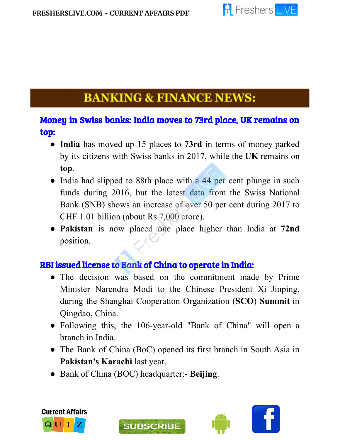

## **BANKING & FINANCE NEWS:**

#### Money in Swiss banks: India moves to 73rd place, UK remains on top:

- **India** has moved up 15 places to **73rd** in terms of money parked by its citizens with Swiss banks in 2017, while the **UK** remains on **top**.
- India had slipped to 88th place with a 44 per cent plunge in such funds during 2016, but the latest data from the Swiss National Bank (SNB) shows an increase of over 50 per cent during 2017 to CHF 1.01 billion (about Rs 7,000 crore).
- **Pakistan** is now placed one place higher than India at **72nd** position.

#### RBI issued license to Bank of China to operate in India:

- The decision was based on the commitment made by Prime Minister Narendra Modi to the Chinese President Xi Jinping, during the Shanghai Cooperation Organization (**SCO**) **Summit** in Qingdao, China.
- Following this, the 106-year-old "Bank of China" will open a branch in India.
- The Bank of China (BoC) opened its first branch in South Asia in **Pakistan's Karachi** last year.
- Bank of China (BOC) headquarter:- **Beijing**.

**SUBSCRIBE** 



j

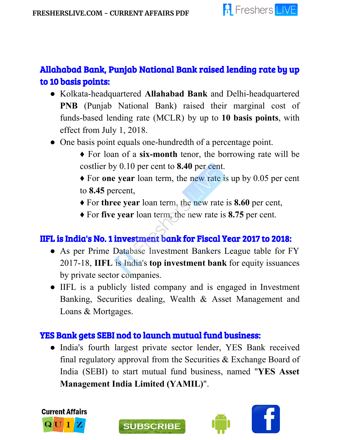

## Allahabad Bank, Punjab National Bank raised lending rate by up to 10 basis points:

- Kolkata-headquartered **Allahabad Bank** and Delhi-headquartered **PNB** (Punjab National Bank) raised their marginal cost of funds-based lending rate (MCLR) by up to **10 basis points**, with effect from July 1, 2018.
- One basis point equals one-hundredth of a percentage point.
	- ♦ For loan of a **six-month** tenor, the borrowing rate will be costlier by 0.10 per cent to **8.40** per cent.
	- ♦ For **one year** loan term, the new rate is up by 0.05 per cent to **8.45** percent,
	- ♦ For **three year** loan term, the new rate is **8.60** per cent,
	- ♦ For **five year** loan term, the new rate is **8.75** per cent.

#### IIFL is India's No. 1 investment bank for Fiscal Year 2017 to 2018:

- As per Prime Database Investment Bankers League table for FY 2017-18, **IIFL** is India's **top investment bank** for equity issuances by private sector companies.
- IIFL is a publicly listed company and is engaged in Investment Banking, Securities dealing, Wealth & Asset Management and Loans & Mortgages.

#### YES Bank gets SEBI nod to launch mutual fund business:

**SUBSCRIBE** 

• India's fourth largest private sector lender, YES Bank received final regulatory approval from the Securities & Exchange Board of India (SEBI) to start mutual fund business, named "**YES Asset Management India Limited (YAMIL)**".





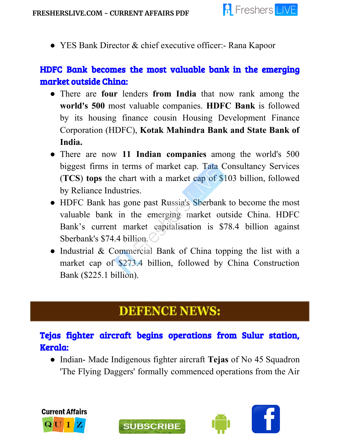

● YES Bank Director & chief executive officer: - Rana Kapoor

#### HDFC Bank becomes the most valuable bank in the emerging market outside China:

- There are **four** lenders **from India** that now rank among the **world's 500** most valuable companies. **HDFC Bank** is followed by its housing finance cousin Housing Development Finance Corporation (HDFC), **Kotak Mahindra Bank and State Bank of India.**
- There are now **11 Indian companies** among the world's 500 biggest firms in terms of market cap. Tata Consultancy Services (**TCS**) **tops** the chart with a market cap of \$103 billion, followed by Reliance Industries.
- HDFC Bank has gone past Russia's Sberbank to become the most valuable bank in the emerging market outside China. HDFC Bank's current market capitalisation is \$78.4 billion against Sberbank's \$74.4 billion.
- Industrial & Commercial Bank of China topping the list with a market cap of \$273.4 billion, followed by China Construction Bank (\$225.1 billion).

## **DEFENCE NEWS:**

### Tejas fighter aircraft begins operations from Sulur station, Kerala:

**SUBSCRIBE** 

● Indian- Made Indigenous fighter aircraft **Tejas** of No 45 Squadron 'The Flying Daggers' formally commenced operations from the Air



ī

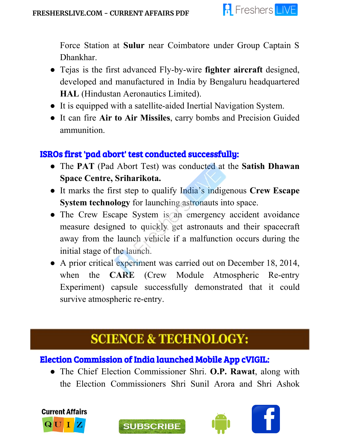

Force Station at **Sulur** near Coimbatore under Group Captain S Dhankhar.

- Tejas is the first advanced Fly-by-wire **fighter aircraft** designed, developed and manufactured in India by Bengaluru headquartered **HAL** (Hindustan Aeronautics Limited).
- It is equipped with a satellite-aided Inertial Navigation System.
- It can fire **Air to Air Missiles**, carry bombs and Precision Guided ammunition.

#### ISROs first 'pad abort' test conducted successfully:

- The **PAT** (Pad Abort Test) was conducted at the **Satish Dhawan Space Centre, Sriharikota.**
- It marks the first step to qualify India's indigenous **Crew Escape System technology** for launching astronauts into space.
- The Crew Escape System is an emergency accident avoidance measure designed to quickly get astronauts and their spacecraft away from the launch vehicle if a malfunction occurs during the initial stage of the launch.
- A prior critical experiment was carried out on December 18, 2014, when the **CARE** (Crew Module Atmospheric Re-entry Experiment) capsule successfully demonstrated that it could survive atmospheric re-entry.

# **SCIENCE & TECHNOLOGY:**

### Election Commission of India launched Mobile App cVIGIL:

**SUBSCRIBE** 

● The Chief Election Commissioner Shri. **O.P. Rawat**, along with the Election Commissioners Shri Sunil Arora and Shri Ashok



l



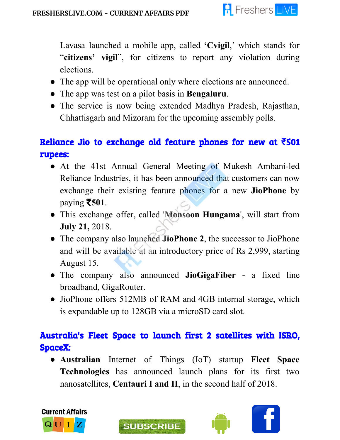

Lavasa launched a mobile app, called **'Cvigil**,' which stands for "**citizens' vigil**", for citizens to report any violation during elections.

- The app will be operational only where elections are announced.
- The app was test on a pilot basis in **Bengaluru**.
- The service is now being extended Madhya Pradesh, Rajasthan, Chhattisgarh and Mizoram for the upcoming assembly polls.

## Reliance Jio to exchange old feature phones for new at  $\bar{c}$  501 rupees:

- At the 41st Annual General Meeting of Mukesh Ambani-led Reliance Industries, it has been announced that customers can now exchange their existing feature phones for a new **JioPhone** by paying ₹**501**.
- This exchange offer, called '**Monsoon Hungama**', will start from **July 21,** 2018.
- The company also launched **JioPhone 2**, the successor to JioPhone and will be available at an introductory price of Rs 2,999, starting August 15.
- The company also announced **JioGigaFiber** a fixed line broadband, GigaRouter.
- JioPhone offers 512MB of RAM and 4GB internal storage, which is expandable up to 128GB via a microSD card slot.

### Australia's Fleet Space to launch first 2 satellites with ISRO, SpaceX:

● **Australian** Internet of Things (IoT) startup **Fleet Space Technologies** has announced launch plans for its first two nanosatellites, **Centauri I and II**, in the second half of 2018.





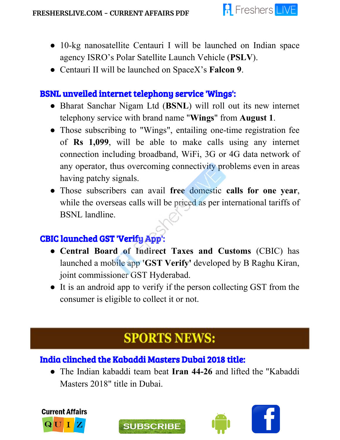

- 10-kg nanosatellite Centauri I will be launched on Indian space agency ISRO's Polar Satellite Launch Vehicle (**PSLV**).
- Centauri II will be launched on SpaceX's **Falcon 9**.

#### BSNL unveiled internet telephony service 'Wings':

- Bharat Sanchar Nigam Ltd (**BSNL**) will roll out its new internet telephony service with brand name "**Wings**" from **August 1**.
- Those subscribing to "Wings", entailing one-time registration fee of **Rs 1,099**, will be able to make calls using any internet connection including broadband, WiFi, 3G or 4G data network of any operator, thus overcoming connectivity problems even in areas having patchy signals.
- Those subscribers can avail **free** domestic **calls for one year**, while the overseas calls will be priced as per international tariffs of BSNL landline.

### CBIC launched GST 'Verify App':

- **Central Board of Indirect Taxes and Customs** (CBIC) has launched a mobile app **'GST Verify'** developed by B Raghu Kiran, joint commissioner GST Hyderabad.
- It is an android app to verify if the person collecting GST from the consumer is eligible to collect it or not.

# **SPORTS NEWS:**

### India clinched the Kabaddi Masters Dubai 2018 title:

**SUBSCRIBE** 

● The Indian kabaddi team beat **Iran 44-26** and lifted the "Kabaddi Masters 2018" title in Dubai.



j

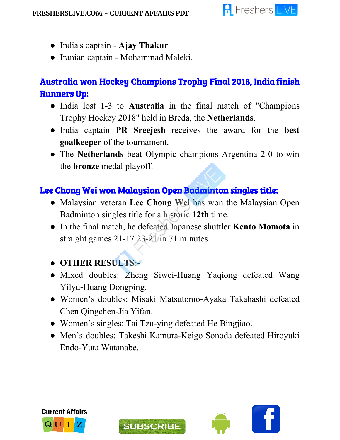

- India's captain **Ajay Thakur**
- Iranian captain Mohammad Maleki.

## Australia won Hockey Champions Trophy Final 2018, India finish Runners Up:

- India lost 1-3 to **Australia** in the final match of "Champions Trophy Hockey 2018" held in Breda, the **Netherlands**.
- India captain **PR Sreejesh** receives the award for the **best goalkeeper** of the tournament.
- The **Netherlands** beat Olympic champions Argentina 2-0 to win the **bronze** medal playoff.

### Lee Chong Wei won Malaysian Open Badminton singles title:

- Malaysian veteran **Lee Chong Wei** has won the Malaysian Open Badminton singles title for a historic **12th** time.
- In the final match, he defeated Japanese shuttler **Kento Momota** in straight games 21-17 23-21 in 71 minutes.

## ● **OTHER RESULTS**:-

- Mixed doubles: Zheng Siwei-Huang Yaqiong defeated Wang Yilyu-Huang Dongping.
- Women's doubles: Misaki Matsutomo-Ayaka Takahashi defeated Chen Qingchen-Jia Yifan.
- Women's singles: Tai Tzu-ying defeated He Bingjiao.
- Men's doubles: Takeshi Kamura-Keigo Sonoda defeated Hiroyuki Endo-Yuta Watanabe.





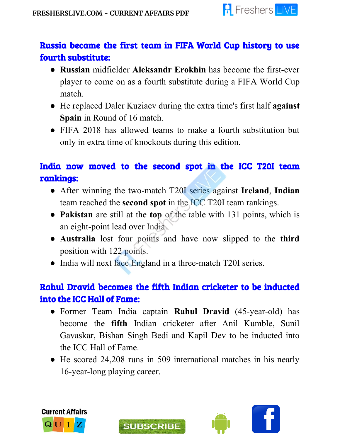

### Russia became the first team in FIFA World Cup history to use fourth substitute:

- **Russian** midfielder **Aleksandr Erokhin** has become the first-ever player to come on as a fourth substitute during a FIFA World Cup match.
- He replaced Daler Kuziaev during the extra time's first half **against Spain** in Round of 16 match.
- FIFA 2018 has allowed teams to make a fourth substitution but only in extra time of knockouts during this edition.

## India now moved to the second spot in the ICC T20I team rankings:

- After winning the two-match T20I series against **Ireland**, **Indian** team reached the **second spot** in the ICC T20I team rankings.
- **Pakistan** are still at the **top** of the table with 131 points, which is an eight-point lead over India.
- **Australia** lost four points and have now slipped to the **third** position with 122 points.
- India will next face England in a three-match T20I series.

## Rahul Dravid becomes the fifth Indian cricketer to be inducted into the ICC Hall of Fame:

- Former Team India captain **Rahul Dravid** (45-year-old) has become the **fifth** Indian cricketer after Anil Kumble, Sunil Gavaskar, Bishan Singh Bedi and Kapil Dev to be inducted into the ICC Hall of Fame.
- He scored 24,208 runs in 509 international matches in his nearly 16-year-long playing career.



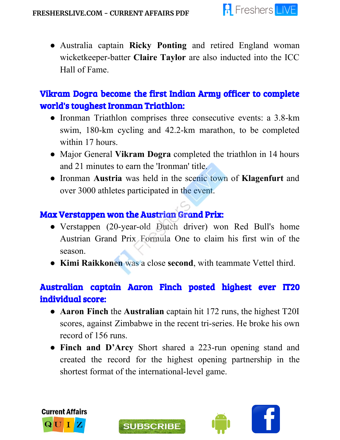

● Australia captain **Ricky Ponting** and retired England woman wicketkeeper-batter **Claire Taylor** are also inducted into the ICC Hall of Fame.

## Vikram Dogra become the first Indian Army officer to complete world's toughest Ironman Triathlon:

- Ironman Triathlon comprises three consecutive events: a 3.8-km swim, 180-km cycling and 42.2-km marathon, to be completed within 17 hours.
- Major General **Vikram Dogra** completed the triathlon in 14 hours and 21 minutes to earn the 'Ironman' title.
- Ironman **Austria** was held in the scenic town of **Klagenfurt** and over 3000 athletes participated in the event.

### Max Verstappen won the Austrian Grand Prix:

- Verstappen (20-year-old Dutch driver) won Red Bull's home Austrian Grand Prix Formula One to claim his first win of the season.
- **Kimi Raikkonen** was a close **second**, with teammate Vettel third.

## Australian captain Aaron Finch posted highest ever IT20 individual score:

- **Aaron Finch** the **Australian** captain hit 172 runs, the highest T20I scores, against Zimbabwe in the recent tri-series. He broke his own record of 156 runs.
- **Finch and D'Arcy** Short shared a 223-run opening stand and created the record for the highest opening partnership in the shortest format of the international-level game.



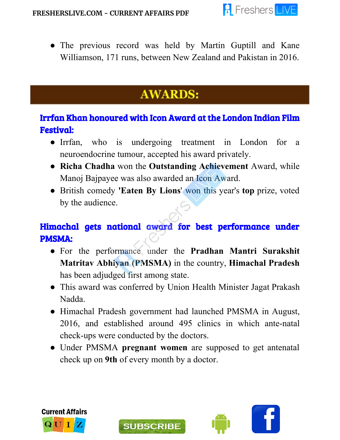

• The previous record was held by Martin Guptill and Kane Williamson, 171 runs, between New Zealand and Pakistan in 2016.

# **AWARDS:**

## Irrfan Khan honoured with Icon Award at the London Indian Film Festival:

- Irrfan, who is undergoing treatment in London for a neuroendocrine tumour, accepted his award privately.
- **Richa Chadha** won the **Outstanding Achievement** Award, while Manoj Bajpayee was also awarded an Icon Award.
- British comedy **'Eaten By Lions**' won this year's **top** prize, voted by the audience.

## Himachal gets national award for best performance under PMSMA:

- For the performance under the **Pradhan Mantri Surakshit Matritav Abhiyan (PMSMA)** in the country, **Himachal Pradesh** has been adjudged first among state.
- This award was conferred by Union Health Minister Jagat Prakash Nadda.
- Himachal Pradesh government had launched PMSMA in August, 2016, and established around 495 clinics in which ante-natal check-ups were conducted by the doctors.
- Under PMSMA **pregnant women** are supposed to get antenatal check up on **9th** of every month by a doctor.

**SUBSCRIBE** 



j

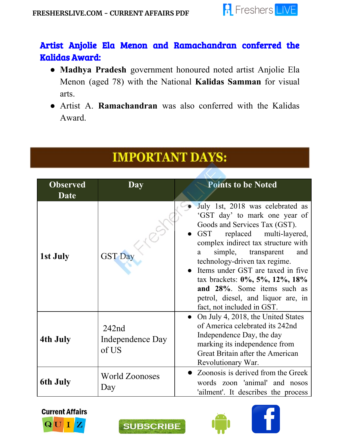

## Artist Anjolie Ela Menon and Ramachandran conferred the Kalidas Award:

- **Madhya Pradesh** government honoured noted artist Anjolie Ela Menon (aged 78) with the National **Kalidas Samman** for visual arts.
- Artist A. **Ramachandran** was also conferred with the Kalidas Award.

# **IMPORTANT DAYS:**

| <b>Observed</b><br><b>Date</b> | Day                                | <b>Points to be Noted</b>                                                                                                                                                                                                                                                                                                                                                                                                            |
|--------------------------------|------------------------------------|--------------------------------------------------------------------------------------------------------------------------------------------------------------------------------------------------------------------------------------------------------------------------------------------------------------------------------------------------------------------------------------------------------------------------------------|
| 1st July                       | <b>GST Day</b>                     | July 1st, 2018 was celebrated as<br>'GST day' to mark one year of<br>Goods and Services Tax (GST).<br>GST<br>replaced multi-layered,<br>complex indirect tax structure with<br>simple,<br>transparent<br>and<br>a<br>technology-driven tax regime.<br>• Items under GST are taxed in five<br>tax brackets: $0\%, 5\%, 12\%, 18\%$<br>and 28%. Some items such as<br>petrol, diesel, and liquor are, in<br>fact, not included in GST. |
| 4th July                       | 242nd<br>Independence Day<br>of US | • On July 4, 2018, the United States<br>of America celebrated its 242nd<br>Independence Day, the day<br>marking its independence from<br>Great Britain after the American<br>Revolutionary War.                                                                                                                                                                                                                                      |
| 6th July                       | <b>World Zoonoses</b><br>Day       | • Zoonosis is derived from the Greek<br>words zoon 'animal' and nosos<br>'ailment'. It describes the process                                                                                                                                                                                                                                                                                                                         |







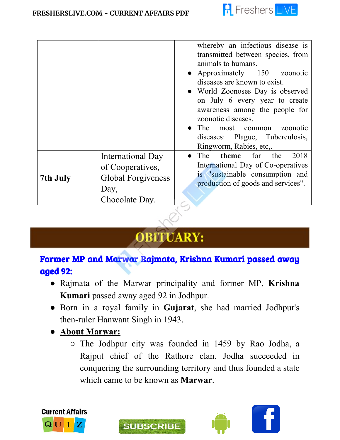

|          |                                                                                              | whereby an infectious disease is<br>transmitted between species, from<br>animals to humans.<br>• Approximately 150 zoonotic<br>diseases are known to exist.<br>• World Zoonoses Day is observed<br>on July 6 every year to create<br>awareness among the people for<br>zoonotic diseases.<br>• The most common zoonotic |
|----------|----------------------------------------------------------------------------------------------|-------------------------------------------------------------------------------------------------------------------------------------------------------------------------------------------------------------------------------------------------------------------------------------------------------------------------|
|          |                                                                                              | diseases: Plague, Tuberculosis,<br>Ringworm, Rabies, etc                                                                                                                                                                                                                                                                |
| 7th July | International Day<br>of Cooperatives,<br><b>Global Forgiveness</b><br>Day,<br>Chocolate Day. | • The <b>theme</b> for the<br>2018<br>International Day of Co-operatives<br>is "sustainable consumption and<br>production of goods and services".                                                                                                                                                                       |

# **OBITUARY:**

#### Former MP and Marwar Rajmata, Krishna Kumari passed away aged 92:

- Rajmata of the Marwar principality and former MP, **Krishna Kumari** passed away aged 92 in Jodhpur.
- Born in a royal family in **Gujarat**, she had married Jodhpur's then-ruler Hanwant Singh in 1943.

**SUBSCRIBE** 

- **● About Marwar:**
	- The Jodhpur city was founded in 1459 by Rao Jodha, a Rajput chief of the Rathore clan. Jodha succeeded in conquering the surrounding territory and thus founded a state which came to be known as **Marwar**.



í

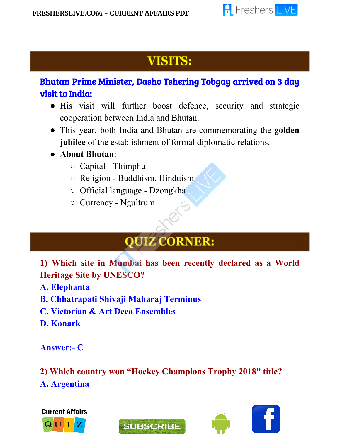

# **VISITS:**

### Bhutan Prime Minister, Dasho Tshering Tobgay arrived on 3 day visit to India:

- His visit will further boost defence, security and strategic cooperation between India and Bhutan.
- This year, both India and Bhutan are commemorating the **golden jubilee** of the establishment of formal diplomatic relations.
- **About Bhutan**:-

l

- Capital Thimphu
- Religion Buddhism, Hinduism
- Official language Dzongkha
- Currency Ngultrum

# **QUIZ CORNER:**

**1) Which site in Mumbai has been recently declared as a World Heritage Site by UNESCO?**

**A. Elephanta**

- **B. Chhatrapati Shivaji Maharaj Terminus**
- **C. Victorian & Art Deco Ensembles**

**D. Konark**

**Answer:- C**

**2) Which country won "Hockey Champions Trophy 2018" title? A. Argentina**





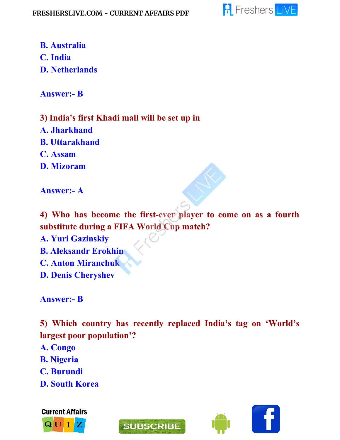

**B. Australia C. India**

**D. Netherlands**

**Answer:- B**

**3) India's first Khadi mall will be set up in A. Jharkhand B. Uttarakhand C. Assam D. Mizoram**

**Answer:- A**

**4) Who has become the first-ever player to come on as a fourth substitute during a FIFA World Cup match?**

**A. Yuri Gazinskiy**

- **B. Aleksandr Erokhin**
- **C. Anton Miranchuk**
- **D. Denis Cheryshev**

**Answer:- B**

**5) Which country has recently replaced India's tag on 'World's largest poor population'?**

- **A. Congo**
- **B. Nigeria**
- **C. Burundi**
- **D. South Korea**





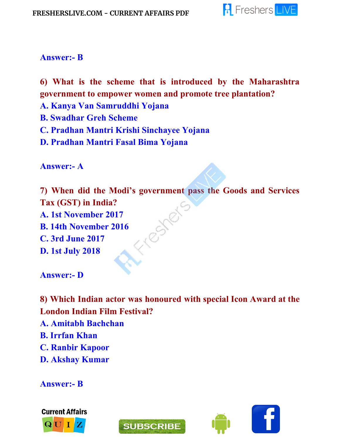

#### **Answer:- B**

**6) What is the scheme that is introduced by the Maharashtra government to empower women and promote tree plantation?**

- **A. Kanya Van Samruddhi Yojana**
- **B. Swadhar Greh Scheme**
- **C. Pradhan Mantri Krishi Sinchayee Yojana**
- **D. Pradhan Mantri Fasal Bima Yojana**

**Answer:- A**

**7) When did the Modi's government pass the Goods and Services Tax (GST) in India?** ester **A. 1st November 2017 B. 14th November 2016 C. 3rd June 2017 D. 1st July 2018**

**Answer:- D**

**8) Which Indian actor was honoured with special Icon Award at the London Indian Film Festival?**

- **A. Amitabh Bachchan**
- **B. Irrfan Khan**
- **C. Ranbir Kapoor**
- **D. Akshay Kumar**

**Answer:- B**





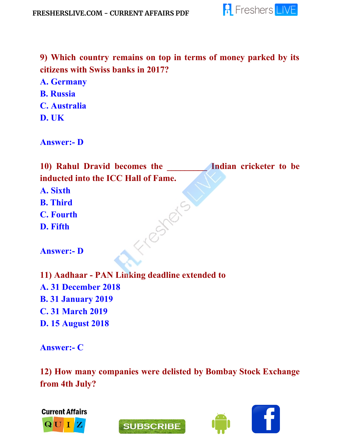

**9) Which country remains on top in terms of money parked by its citizens with Swiss banks in 2017? A. Germany B. Russia C. Australia D. UK**

**Answer:- D**

**10) Rahul Dravid becomes the \_\_\_\_\_\_\_\_\_ Indian cricketer to be inducted into the ICC Hall of Fame. A. Sixth** Fresheis **B. Third C. Fourth D. Fifth Answer:- D 11) Aadhaar - PAN Linking deadline extended to A. 31 December 2018 B. 31 January 2019 C. 31 March 2019 D. 15 August 2018 Answer:- C**

**12) How many companies were delisted by Bombay Stock Exchange from 4th July?**



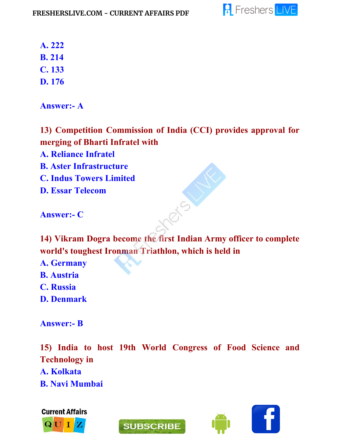

**A. 222**

**B. 214**

**C. 133**

**D. 176**

**Answer:- A**

**13) Competition Commission of India (CCI) provides approval for merging of Bharti Infratel with**

**A. Reliance Infratel**

**B. Aster Infrastructure**

**C. Indus Towers Limited**

**D. Essar Telecom**

**Answer:- C**

**14) Vikram Dogra become the first Indian Army officer to complete world's toughest Ironman Triathlon, which is held in**

- **A. Germany**
- **B. Austria**
- **C. Russia**
- **D. Denmark**

**Answer:- B**

**15) India to host 19th World Congress of Food Science and Technology in A. Kolkata**

**B. Navi Mumbai**





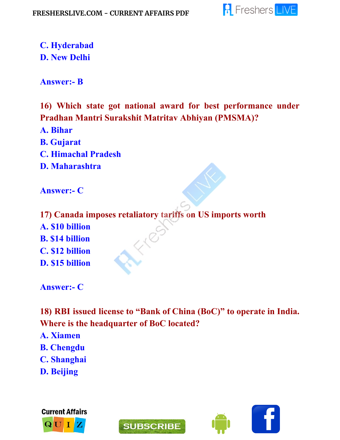

**C. Hyderabad D. New Delhi**

**Answer:- B**

**16) Which state got national award for best performance under Pradhan Mantri Surakshit Matritav Abhiyan (PMSMA)?**

- **A. Bihar**
- **B. Gujarat**
- **C. Himachal Pradesh**
- **D. Maharashtra**

**Answer:- C**

**17) Canada imposes retaliatory tariffs on US imports worth A. \$10 billion B. \$14 billion C. \$12 billion D. \$15 billion**

**Answer:- C**

**18) RBI issued license to "Bank of China (BoC)" to operate in India. Where is the headquarter of BoC located?**

- **A. Xiamen**
- **B. Chengdu**
- **C. Shanghai**
- **D. Beijing**





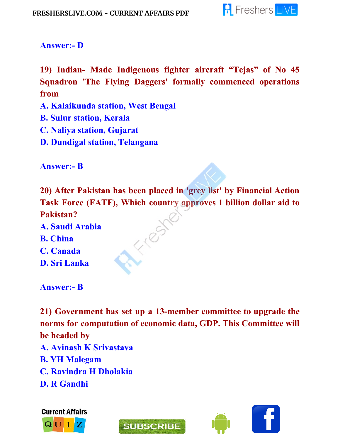

#### **Answer:- D**

**19) Indian- Made Indigenous fighter aircraft "Tejas" of No 45 Squadron 'The Flying Daggers' formally commenced operations from**

- **A. Kalaikunda station, West Bengal**
- **B. Sulur station, Kerala**
- **C. Naliya station, Gujarat**
- **D. Dundigal station, Telangana**

**Answer:- B**

**20) After Pakistan has been placed in 'grey list' by Financial Action Task Force (FATF), Which country approves 1 billion dollar aid to Pakistan?**

1109

- **A. Saudi Arabia B. China**
- **C. Canada**
- **D. Sri Lanka**

**Answer:- B**

**21) Government has set up a 13-member committee to upgrade the norms for computation of economic data, GDP. This Committee will be headed by**

- **A. Avinash K Srivastava**
- **B. YH Malegam**
- **C. Ravindra H Dholakia**
- **D. R Gandhi**

**Current Affairs** 





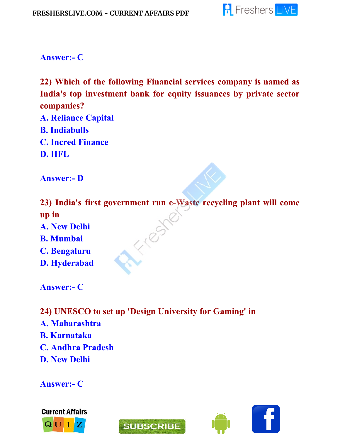

**Answer:- C**

**22) Which of the following Financial services company is named as India's top investment bank for equity issuances by private sector companies?**

**A. Reliance Capital B. Indiabulls C. Incred Finance D. IIFL**

**Answer:- D**

**23) India's first government run e-Waste recycling plant will come up in** FROST

- **A. New Delhi**
- **B. Mumbai**
- **C. Bengaluru**
- **D. Hyderabad**

**Answer:- C**

- **24) UNESCO to set up 'Design University for Gaming' in**
- **A. Maharashtra**
- **B. Karnataka**
- **C. Andhra Pradesh**
- **D. New Delhi**

**Answer:- C**





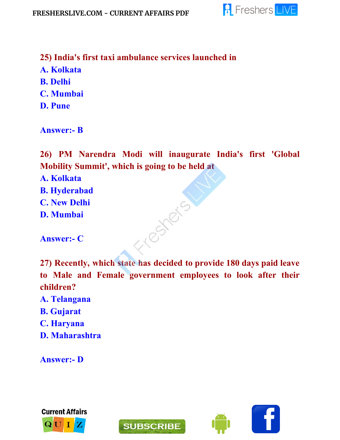

**25) India's first taxi ambulance services launched in A. Kolkata B. Delhi C. Mumbai D. Pune**

**Answer:- B**

**26) PM Narendra Modi will inaugurate India's first 'Global Mobility Summit' , which is going to be held at**

**A. Kolkata**

- **B. Hyderabad**
- **C. New Delhi**
- **D. Mumbai**

**Answer:- C**

**27) Recently, which state has decided to provide 180 days paid leave to Male and Female government employees to look after their children?**

- **A. Telangana**
- **B. Gujarat**
- **C. Haryana**
- **D. Maharashtra**

**Answer:- D**





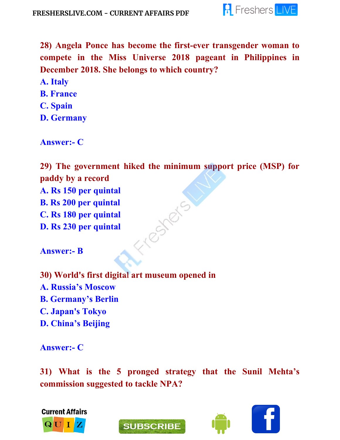

**28) Angela Ponce has become the first-ever transgender woman to compete in the Miss Universe 2018 pageant in Philippines in December 2018. She belongs to which country?**

**A. Italy**

- **B. France**
- **C. Spain**

**D. Germany**

**Answer:- C**

**29) The government hiked the minimum support price (MSP) for paddy by a record A. Rs 150 per quintal** resters **B. Rs 200 per quintal C. Rs 180 per quintal D. Rs 230 per quintal**

**Answer:- B**

**30) World's first digital art museum opened in A. Russia's Moscow B. Germany's Berlin C. Japan's Tokyo D. China's Beijing**

**Answer:- C**

**31) What is the 5 pronged strategy that the Sunil Mehta's commission suggested to tackle NPA?**



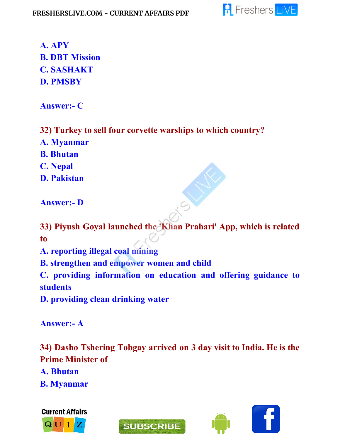

**A. APY B. DBT Mission C. SASHAKT D. PMSBY**

**Answer:- C**

**32) Turkey to sell four corvette warships to which country?**

**A. Myanmar**

**B. Bhutan**

**C. Nepal**

**D. Pakistan**

**Answer:- D**

**33) Piyush Goyal launched the 'Khan Prahari' App, which is related to**

**A. reporting illegal coal mining**

**B. strengthen and empower women and child**

**C. providing information on education and offering guidance to students**

**D. providing clean drinking water**

**Answer:- A**

**34) Dasho Tshering Tobgay arrived on 3 day visit to India. He is the Prime Minister of**

**A. Bhutan**

**B. Myanmar**





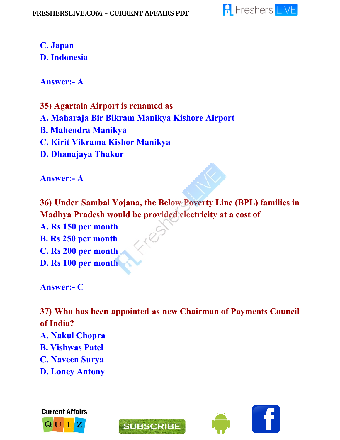

### **C. Japan D. Indonesia**

**Answer:- A**

**35) Agartala Airport is renamed as A. Maharaja Bir Bikram Manikya Kishore Airport B. Mahendra Manikya C. Kirit Vikrama Kishor Manikya D. Dhanajaya Thakur**

**Answer:- A**

**36) Under Sambal Yojana, the Below Poverty Line (BPL) families in Madhya Pradesh would be provided electricity at a cost of A. Rs 150 per month B. Rs 250 per month C. Rs 200 per month D. Rs 100 per month**

**Answer:- C**

**37) Who has been appointed as new Chairman of Payments Council of India? A. Nakul Chopra B. Vishwas Patel C. Naveen Surya D. Loney Antony**





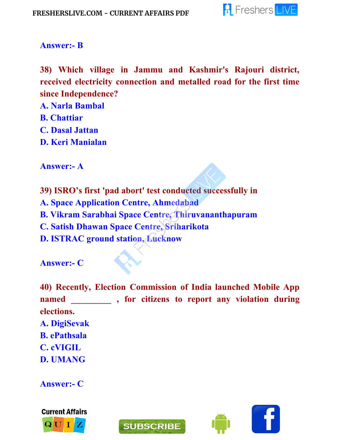

#### **Answer:- B**

**38) Which village in Jammu and Kashmir's Rajouri district, received electricity connection and metalled road for the first time since Independence?**

- **A. Narla Bambal**
- **B. Chattiar**
- **C. Dasal Jattan**
- **D. Keri Manialan**

**Answer:- A**

**39) ISRO's first 'pad abort' test conducted successfully in A. Space Application Centre, Ahmedabad B. Vikram Sarabhai Space Centre, Thiruvananthapuram C. Satish Dhawan Space Centre, Sriharikota D. ISTRAC ground station, Lucknow**

**Answer:- C**

**40) Recently, Election Commission of India launched Mobile App named \_\_\_\_\_\_\_\_\_ , for citizens to report any violation during elections. A. DigiSevak B. ePathsala C. cVIGIL D. UMANG**

**Answer:- C**





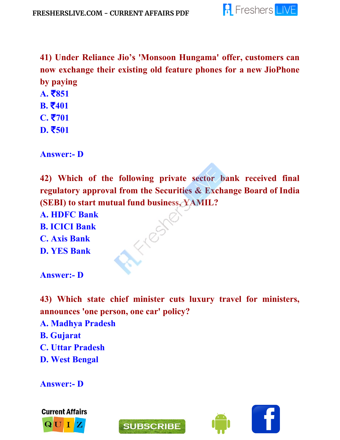

**41) Under Reliance Jio's 'Monsoon Hungama' offer, customers can now exchange their existing old feature phones for a new JioPhone by paying**

- **A.** ₹**851**
- **B.** ₹**401**
- **C.** ₹**701**
- **D.** ₹**501**

**Answer:- D**

**42) Which of the following private sector bank received final regulatory approval from the Securities & Exchange Board of India (SEBI) to start mutual fund business, YAMIL?**

TEST

**A. HDFC Bank B. ICICI Bank C. Axis Bank D. YES Bank**

**Answer:- D**

**43) Which state chief minister cuts luxury travel for ministers, announces 'one person, one car' policy?**

**A. Madhya Pradesh**

- **B. Gujarat**
- **C. Uttar Pradesh**
- **D. West Bengal**

**Answer:- D**